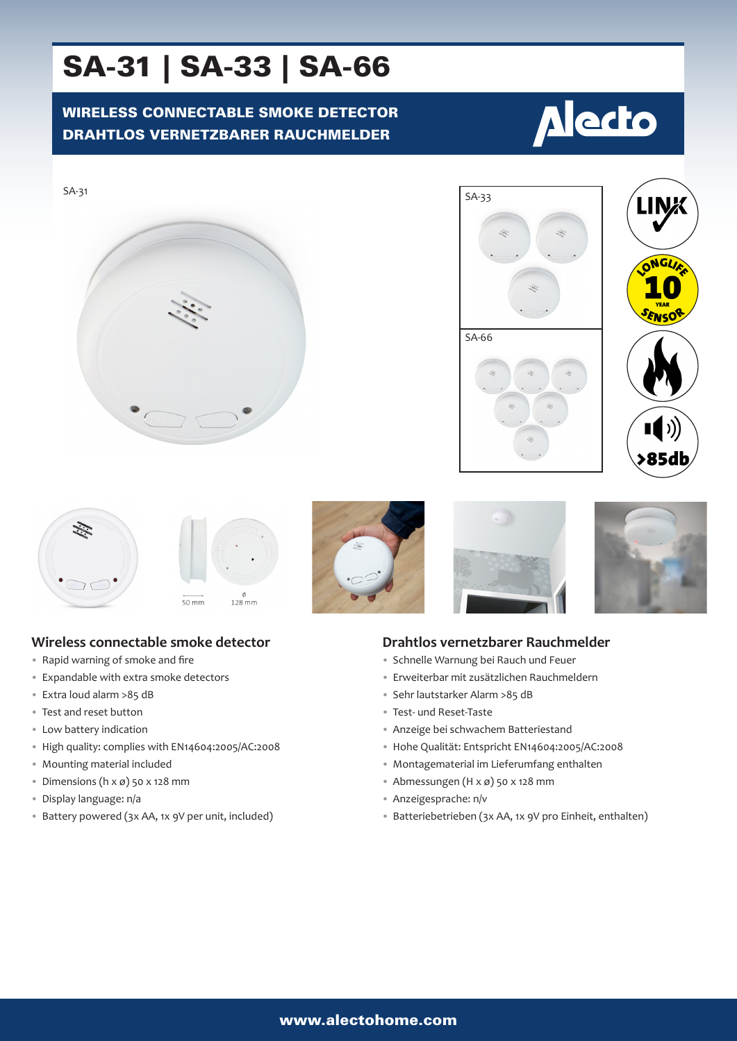# SA-31 | SA-33 | SA-66

# WIRELESS CONNECTABLE SMOKE DETECTOR DRAHTLOS VERNETZBARER RAUCHMELDER





**Alecto** 





 $\phi$ <br>128 mm  $50 \text{ mm}$ 





# **Drahtlos vernetzbarer Rauchmelder**

- Schnelle Warnung bei Rauch und Feuer
- Erweiterbar mit zusätzlichen Rauchmeldern
- Sehr lautstarker Alarm >85 dB
- Test- und Reset-Taste
- Anzeige bei schwachem Batteriestand
- Hohe Qualität: Entspricht EN14604:2005/AC:2008
- Montagematerial im Lieferumfang enthalten
- Abmessungen (H x ø) 50 x 128 mm
- Anzeigesprache: n/v
- Batteriebetrieben (3x AA, 1x 9V pro Einheit, enthalten)

#### **Wireless connectable smoke detector** • Rapid warning of smoke and fire

- Expandable with extra smoke detectors
- Extra loud alarm >85 dB
- Test and reset button
- Low battery indication
- High quality: complies with EN14604:2005/AC:2008
- Mounting material included
- Dimensions ( $h \times \emptyset$ ) 50 x 128 mm
- Display language: n/a
- Battery powered (3x AA, 1x 9V per unit, included)